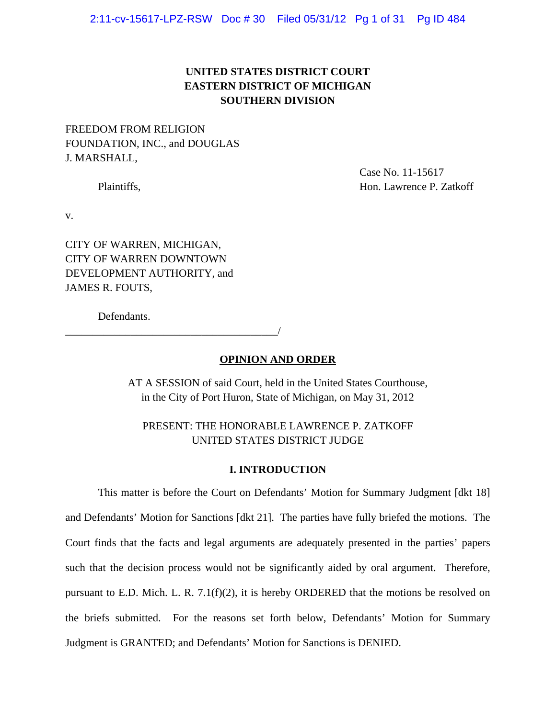# **UNITED STATES DISTRICT COURT EASTERN DISTRICT OF MICHIGAN SOUTHERN DIVISION**

FREEDOM FROM RELIGION FOUNDATION, INC., and DOUGLAS J. MARSHALL,

> Case No. 11-15617 Plaintiffs. The Hon. Lawrence P. Zatkoff

v.

CITY OF WARREN, MICHIGAN, CITY OF WARREN DOWNTOWN DEVELOPMENT AUTHORITY, and JAMES R. FOUTS,

Defendants.

\_\_\_\_\_\_\_\_\_\_\_\_\_\_\_\_\_\_\_\_\_\_\_\_\_\_\_\_\_\_\_\_\_\_\_\_\_\_\_/

## **OPINION AND ORDER**

AT A SESSION of said Court, held in the United States Courthouse, in the City of Port Huron, State of Michigan, on May 31, 2012

# PRESENT: THE HONORABLE LAWRENCE P. ZATKOFF UNITED STATES DISTRICT JUDGE

## **I. INTRODUCTION**

 This matter is before the Court on Defendants' Motion for Summary Judgment [dkt 18] and Defendants' Motion for Sanctions [dkt 21]. The parties have fully briefed the motions. The Court finds that the facts and legal arguments are adequately presented in the parties' papers such that the decision process would not be significantly aided by oral argument. Therefore, pursuant to E.D. Mich. L. R. 7.1(f)(2), it is hereby ORDERED that the motions be resolved on the briefs submitted. For the reasons set forth below, Defendants' Motion for Summary Judgment is GRANTED; and Defendants' Motion for Sanctions is DENIED.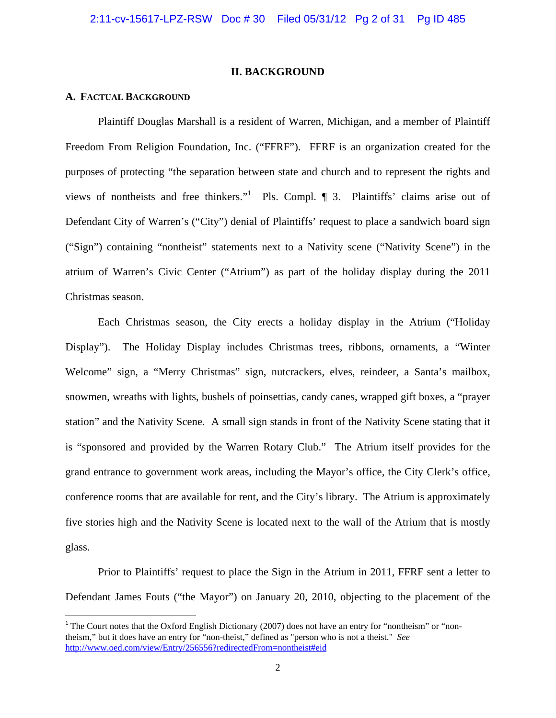#### **II. BACKGROUND**

#### **A. FACTUAL BACKGROUND**

 Plaintiff Douglas Marshall is a resident of Warren, Michigan, and a member of Plaintiff Freedom From Religion Foundation, Inc. ("FFRF"). FFRF is an organization created for the purposes of protecting "the separation between state and church and to represent the rights and views of nontheists and free thinkers." Pls. Compl.  $\P$  3. Plaintiffs' claims arise out of Defendant City of Warren's ("City") denial of Plaintiffs' request to place a sandwich board sign ("Sign") containing "nontheist" statements next to a Nativity scene ("Nativity Scene") in the atrium of Warren's Civic Center ("Atrium") as part of the holiday display during the 2011 Christmas season.

 Each Christmas season, the City erects a holiday display in the Atrium ("Holiday Display"). The Holiday Display includes Christmas trees, ribbons, ornaments, a "Winter Welcome" sign, a "Merry Christmas" sign, nutcrackers, elves, reindeer, a Santa's mailbox, snowmen, wreaths with lights, bushels of poinsettias, candy canes, wrapped gift boxes, a "prayer station" and the Nativity Scene. A small sign stands in front of the Nativity Scene stating that it is "sponsored and provided by the Warren Rotary Club." The Atrium itself provides for the grand entrance to government work areas, including the Mayor's office, the City Clerk's office, conference rooms that are available for rent, and the City's library. The Atrium is approximately five stories high and the Nativity Scene is located next to the wall of the Atrium that is mostly glass.

 Prior to Plaintiffs' request to place the Sign in the Atrium in 2011, FFRF sent a letter to Defendant James Fouts ("the Mayor") on January 20, 2010, objecting to the placement of the

<sup>&</sup>lt;sup>1</sup> The Court notes that the Oxford English Dictionary (2007) does not have an entry for "nontheism" or "nontheism," but it does have an entry for "non-theist," defined as "person who is not a theist." *See*  http://www.oed.com/view/Entry/256556?redirectedFrom=nontheist#eid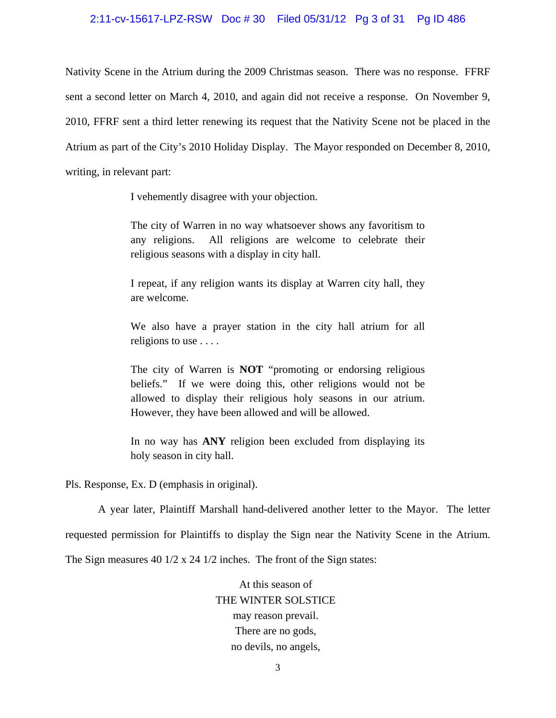# 2:11-cv-15617-LPZ-RSW Doc # 30 Filed 05/31/12 Pg 3 of 31 Pg ID 486

Nativity Scene in the Atrium during the 2009 Christmas season. There was no response. FFRF sent a second letter on March 4, 2010, and again did not receive a response. On November 9, 2010, FFRF sent a third letter renewing its request that the Nativity Scene not be placed in the Atrium as part of the City's 2010 Holiday Display. The Mayor responded on December 8, 2010, writing, in relevant part:

I vehemently disagree with your objection.

The city of Warren in no way whatsoever shows any favoritism to any religions. All religions are welcome to celebrate their religious seasons with a display in city hall.

I repeat, if any religion wants its display at Warren city hall, they are welcome.

We also have a prayer station in the city hall atrium for all religions to use . . . .

The city of Warren is **NOT** "promoting or endorsing religious beliefs." If we were doing this, other religions would not be allowed to display their religious holy seasons in our atrium. However, they have been allowed and will be allowed.

In no way has **ANY** religion been excluded from displaying its holy season in city hall.

Pls. Response, Ex. D (emphasis in original).

A year later, Plaintiff Marshall hand-delivered another letter to the Mayor. The letter

requested permission for Plaintiffs to display the Sign near the Nativity Scene in the Atrium.

The Sign measures 40 1/2 x 24 1/2 inches. The front of the Sign states:

At this season of THE WINTER SOLSTICE may reason prevail. There are no gods, no devils, no angels,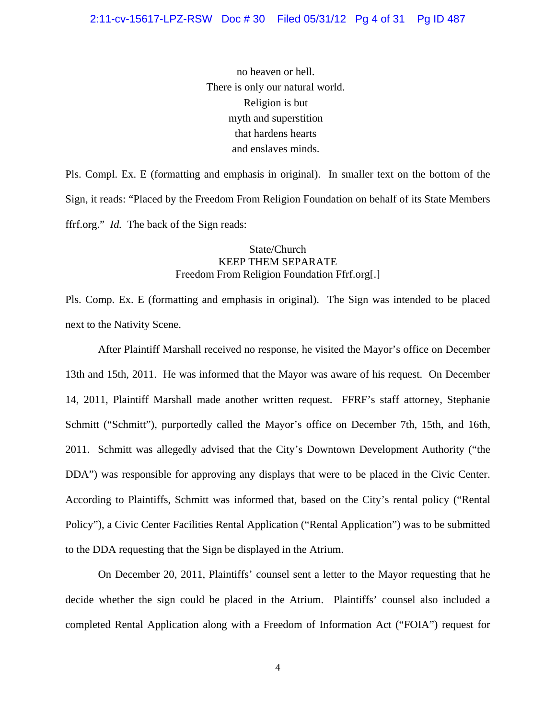no heaven or hell. There is only our natural world. Religion is but myth and superstition that hardens hearts and enslaves minds.

Pls. Compl. Ex. E (formatting and emphasis in original). In smaller text on the bottom of the Sign, it reads: "Placed by the Freedom From Religion Foundation on behalf of its State Members ffrf.org." *Id.* The back of the Sign reads:

### State/Church KEEP THEM SEPARATE Freedom From Religion Foundation Ffrf.org[.]

Pls. Comp. Ex. E (formatting and emphasis in original). The Sign was intended to be placed next to the Nativity Scene.

 After Plaintiff Marshall received no response, he visited the Mayor's office on December 13th and 15th, 2011. He was informed that the Mayor was aware of his request. On December 14, 2011, Plaintiff Marshall made another written request. FFRF's staff attorney, Stephanie Schmitt ("Schmitt"), purportedly called the Mayor's office on December 7th, 15th, and 16th, 2011. Schmitt was allegedly advised that the City's Downtown Development Authority ("the DDA") was responsible for approving any displays that were to be placed in the Civic Center. According to Plaintiffs, Schmitt was informed that, based on the City's rental policy ("Rental Policy"), a Civic Center Facilities Rental Application ("Rental Application") was to be submitted to the DDA requesting that the Sign be displayed in the Atrium.

On December 20, 2011, Plaintiffs' counsel sent a letter to the Mayor requesting that he decide whether the sign could be placed in the Atrium. Plaintiffs' counsel also included a completed Rental Application along with a Freedom of Information Act ("FOIA") request for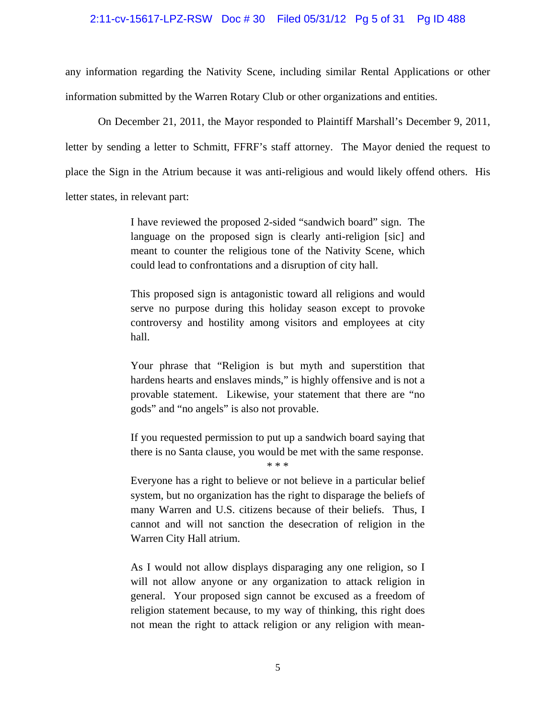### 2:11-cv-15617-LPZ-RSW Doc # 30 Filed 05/31/12 Pg 5 of 31 Pg ID 488

any information regarding the Nativity Scene, including similar Rental Applications or other information submitted by the Warren Rotary Club or other organizations and entities.

 On December 21, 2011, the Mayor responded to Plaintiff Marshall's December 9, 2011, letter by sending a letter to Schmitt, FFRF's staff attorney. The Mayor denied the request to place the Sign in the Atrium because it was anti-religious and would likely offend others. His letter states, in relevant part:

> I have reviewed the proposed 2-sided "sandwich board" sign. The language on the proposed sign is clearly anti-religion [sic] and meant to counter the religious tone of the Nativity Scene, which could lead to confrontations and a disruption of city hall.

> This proposed sign is antagonistic toward all religions and would serve no purpose during this holiday season except to provoke controversy and hostility among visitors and employees at city hall.

> Your phrase that "Religion is but myth and superstition that hardens hearts and enslaves minds," is highly offensive and is not a provable statement. Likewise, your statement that there are "no gods" and "no angels" is also not provable.

> If you requested permission to put up a sandwich board saying that there is no Santa clause, you would be met with the same response.

> > \* \* \*

Everyone has a right to believe or not believe in a particular belief system, but no organization has the right to disparage the beliefs of many Warren and U.S. citizens because of their beliefs. Thus, I cannot and will not sanction the desecration of religion in the Warren City Hall atrium.

As I would not allow displays disparaging any one religion, so I will not allow anyone or any organization to attack religion in general. Your proposed sign cannot be excused as a freedom of religion statement because, to my way of thinking, this right does not mean the right to attack religion or any religion with mean-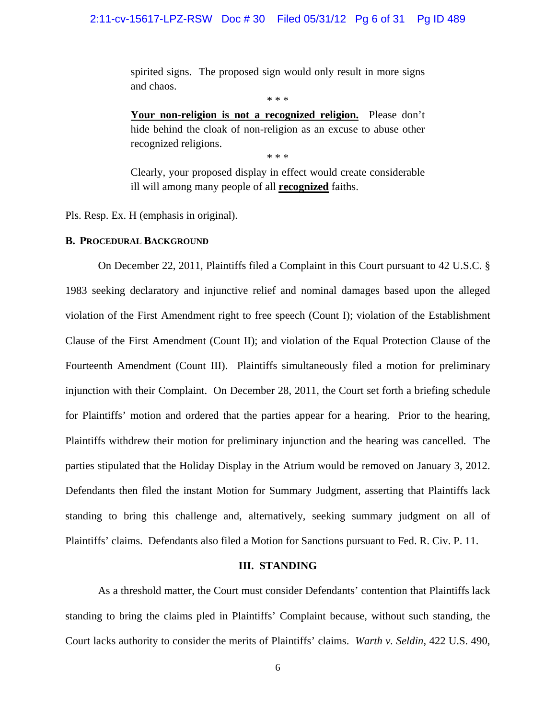spirited signs. The proposed sign would only result in more signs and chaos.

\* \* \*

**Your non-religion is not a recognized religion.** Please don't hide behind the cloak of non-religion as an excuse to abuse other recognized religions.

\* \* \*

Clearly, your proposed display in effect would create considerable ill will among many people of all **recognized** faiths.

Pls. Resp. Ex. H (emphasis in original).

### **B. PROCEDURAL BACKGROUND**

 On December 22, 2011, Plaintiffs filed a Complaint in this Court pursuant to 42 U.S.C. § 1983 seeking declaratory and injunctive relief and nominal damages based upon the alleged violation of the First Amendment right to free speech (Count I); violation of the Establishment Clause of the First Amendment (Count II); and violation of the Equal Protection Clause of the Fourteenth Amendment (Count III). Plaintiffs simultaneously filed a motion for preliminary injunction with their Complaint. On December 28, 2011, the Court set forth a briefing schedule for Plaintiffs' motion and ordered that the parties appear for a hearing. Prior to the hearing, Plaintiffs withdrew their motion for preliminary injunction and the hearing was cancelled. The parties stipulated that the Holiday Display in the Atrium would be removed on January 3, 2012. Defendants then filed the instant Motion for Summary Judgment, asserting that Plaintiffs lack standing to bring this challenge and, alternatively, seeking summary judgment on all of Plaintiffs' claims. Defendants also filed a Motion for Sanctions pursuant to Fed. R. Civ. P. 11.

#### **III. STANDING**

As a threshold matter, the Court must consider Defendants' contention that Plaintiffs lack standing to bring the claims pled in Plaintiffs' Complaint because, without such standing, the Court lacks authority to consider the merits of Plaintiffs' claims. *Warth v. Seldin*, 422 U.S. 490,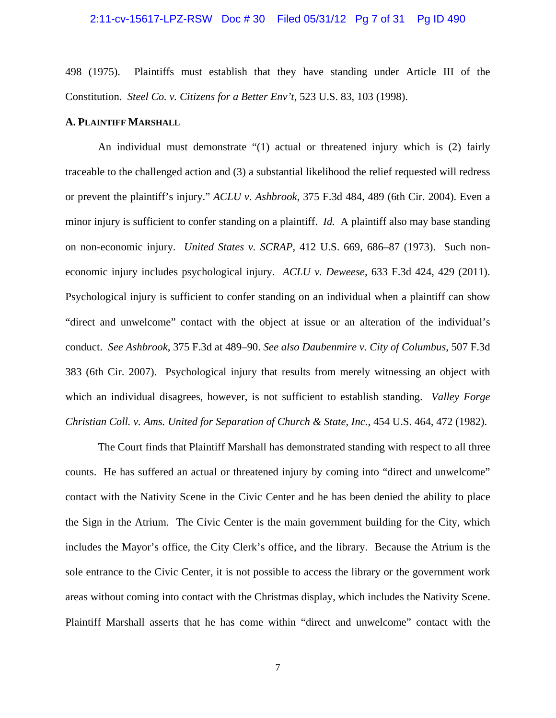# 2:11-cv-15617-LPZ-RSW Doc # 30 Filed 05/31/12 Pg 7 of 31 Pg ID 490

498 (1975). Plaintiffs must establish that they have standing under Article III of the Constitution. *Steel Co. v. Citizens for a Better Env't*, 523 U.S. 83, 103 (1998).

#### **A. PLAINTIFF MARSHALL**

 An individual must demonstrate "(1) actual or threatened injury which is (2) fairly traceable to the challenged action and (3) a substantial likelihood the relief requested will redress or prevent the plaintiff's injury." *ACLU v. Ashbrook*, 375 F.3d 484, 489 (6th Cir. 2004). Even a minor injury is sufficient to confer standing on a plaintiff. *Id.* A plaintiff also may base standing on non-economic injury. *United States v. SCRAP*, 412 U.S. 669, 686–87 (1973). Such noneconomic injury includes psychological injury. *ACLU v. Deweese*, 633 F.3d 424, 429 (2011). Psychological injury is sufficient to confer standing on an individual when a plaintiff can show "direct and unwelcome" contact with the object at issue or an alteration of the individual's conduct. *See Ashbrook*, 375 F.3d at 489–90. *See also Daubenmire v. City of Columbus*, 507 F.3d 383 (6th Cir. 2007). Psychological injury that results from merely witnessing an object with which an individual disagrees, however, is not sufficient to establish standing. *Valley Forge Christian Coll. v. Ams. United for Separation of Church & State*, *Inc.*, 454 U.S. 464, 472 (1982).

 The Court finds that Plaintiff Marshall has demonstrated standing with respect to all three counts. He has suffered an actual or threatened injury by coming into "direct and unwelcome" contact with the Nativity Scene in the Civic Center and he has been denied the ability to place the Sign in the Atrium. The Civic Center is the main government building for the City, which includes the Mayor's office, the City Clerk's office, and the library. Because the Atrium is the sole entrance to the Civic Center, it is not possible to access the library or the government work areas without coming into contact with the Christmas display, which includes the Nativity Scene. Plaintiff Marshall asserts that he has come within "direct and unwelcome" contact with the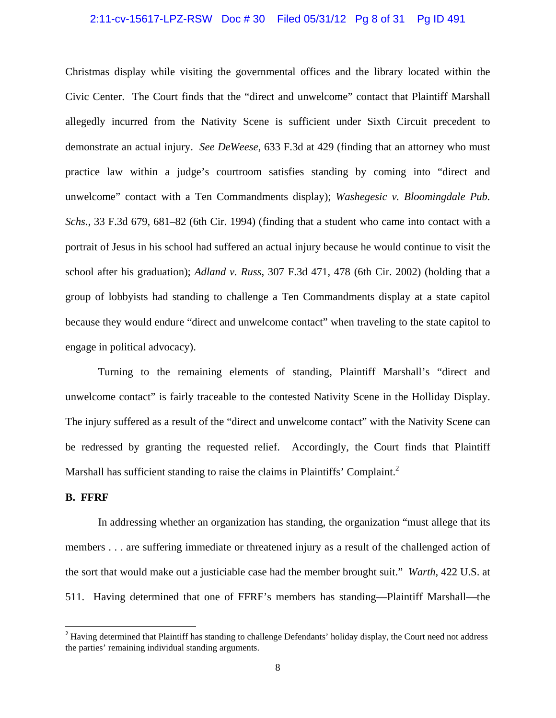# 2:11-cv-15617-LPZ-RSW Doc # 30 Filed 05/31/12 Pg 8 of 31 Pg ID 491

Christmas display while visiting the governmental offices and the library located within the Civic Center. The Court finds that the "direct and unwelcome" contact that Plaintiff Marshall allegedly incurred from the Nativity Scene is sufficient under Sixth Circuit precedent to demonstrate an actual injury. *See DeWeese*, 633 F.3d at 429 (finding that an attorney who must practice law within a judge's courtroom satisfies standing by coming into "direct and unwelcome" contact with a Ten Commandments display); *Washegesic v. Bloomingdale Pub. Schs.*, 33 F.3d 679, 681–82 (6th Cir. 1994) (finding that a student who came into contact with a portrait of Jesus in his school had suffered an actual injury because he would continue to visit the school after his graduation); *Adland v. Russ*, 307 F.3d 471, 478 (6th Cir. 2002) (holding that a group of lobbyists had standing to challenge a Ten Commandments display at a state capitol because they would endure "direct and unwelcome contact" when traveling to the state capitol to engage in political advocacy).

 Turning to the remaining elements of standing, Plaintiff Marshall's "direct and unwelcome contact" is fairly traceable to the contested Nativity Scene in the Holliday Display. The injury suffered as a result of the "direct and unwelcome contact" with the Nativity Scene can be redressed by granting the requested relief. Accordingly, the Court finds that Plaintiff Marshall has sufficient standing to raise the claims in Plaintiffs' Complaint.<sup>2</sup>

#### **B. FFRF**

In addressing whether an organization has standing, the organization "must allege that its members . . . are suffering immediate or threatened injury as a result of the challenged action of the sort that would make out a justiciable case had the member brought suit." *Warth*, 422 U.S. at 511. Having determined that one of FFRF's members has standing—Plaintiff Marshall—the

<sup>&</sup>lt;sup>2</sup> Having determined that Plaintiff has standing to challenge Defendants' holiday display, the Court need not address the parties' remaining individual standing arguments.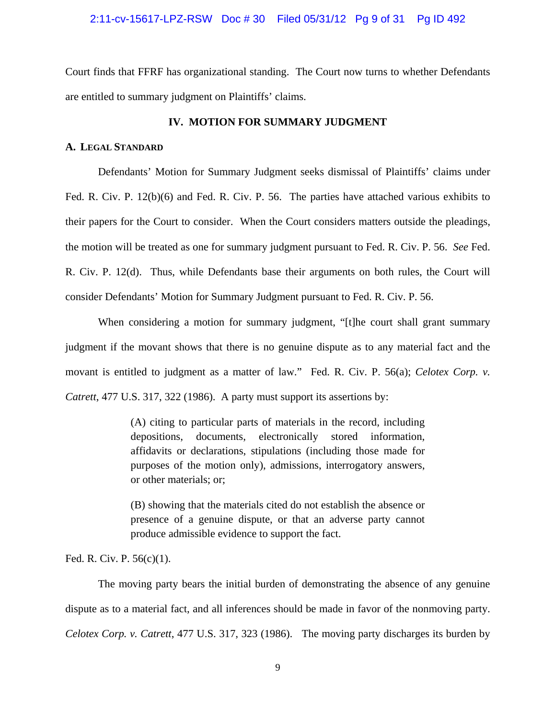# 2:11-cv-15617-LPZ-RSW Doc # 30 Filed 05/31/12 Pg 9 of 31 Pg ID 492

Court finds that FFRF has organizational standing. The Court now turns to whether Defendants are entitled to summary judgment on Plaintiffs' claims.

#### **IV. MOTION FOR SUMMARY JUDGMENT**

### **A. LEGAL STANDARD**

Defendants' Motion for Summary Judgment seeks dismissal of Plaintiffs' claims under Fed. R. Civ. P. 12(b)(6) and Fed. R. Civ. P. 56. The parties have attached various exhibits to their papers for the Court to consider. When the Court considers matters outside the pleadings, the motion will be treated as one for summary judgment pursuant to Fed. R. Civ. P. 56. *See* Fed. R. Civ. P. 12(d). Thus, while Defendants base their arguments on both rules, the Court will consider Defendants' Motion for Summary Judgment pursuant to Fed. R. Civ. P. 56.

 When considering a motion for summary judgment, "[t]he court shall grant summary judgment if the movant shows that there is no genuine dispute as to any material fact and the movant is entitled to judgment as a matter of law." Fed. R. Civ. P. 56(a); *Celotex Corp. v. Catrett*, 477 U.S. 317, 322 (1986). A party must support its assertions by:

> (A) citing to particular parts of materials in the record, including depositions, documents, electronically stored information, affidavits or declarations, stipulations (including those made for purposes of the motion only), admissions, interrogatory answers, or other materials; or;

> (B) showing that the materials cited do not establish the absence or presence of a genuine dispute, or that an adverse party cannot produce admissible evidence to support the fact.

Fed. R. Civ. P. 56(c)(1).

 The moving party bears the initial burden of demonstrating the absence of any genuine dispute as to a material fact, and all inferences should be made in favor of the nonmoving party. *Celotex Corp. v. Catrett*, 477 U.S. 317, 323 (1986). The moving party discharges its burden by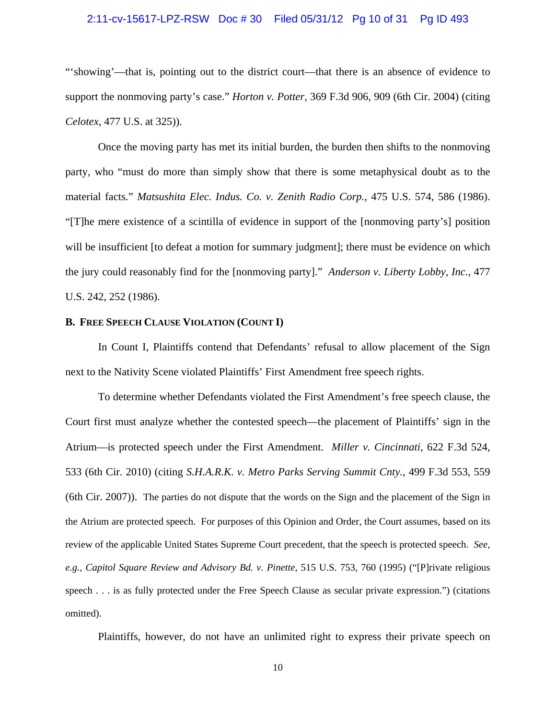#### 2:11-cv-15617-LPZ-RSW Doc # 30 Filed 05/31/12 Pg 10 of 31 Pg ID 493

"'showing'—that is, pointing out to the district court—that there is an absence of evidence to support the nonmoving party's case." *Horton v. Potter*, 369 F.3d 906, 909 (6th Cir. 2004) (citing *Celotex*, 477 U.S. at 325)).

 Once the moving party has met its initial burden, the burden then shifts to the nonmoving party, who "must do more than simply show that there is some metaphysical doubt as to the material facts." *Matsushita Elec. Indus. Co. v. Zenith Radio Corp.*, 475 U.S. 574, 586 (1986). "[T]he mere existence of a scintilla of evidence in support of the [nonmoving party's] position will be insufficient [to defeat a motion for summary judgment]; there must be evidence on which the jury could reasonably find for the [nonmoving party]." *Anderson v. Liberty Lobby, Inc.*, 477 U.S. 242, 252 (1986).

#### **B. FREE SPEECH CLAUSE VIOLATION (COUNT I)**

In Count I, Plaintiffs contend that Defendants' refusal to allow placement of the Sign next to the Nativity Scene violated Plaintiffs' First Amendment free speech rights.

To determine whether Defendants violated the First Amendment's free speech clause, the Court first must analyze whether the contested speech—the placement of Plaintiffs' sign in the Atrium—is protected speech under the First Amendment. *Miller v. Cincinnati*, 622 F.3d 524, 533 (6th Cir. 2010) (citing *S.H.A.R.K. v. Metro Parks Serving Summit Cnty.*, 499 F.3d 553, 559 (6th Cir. 2007)). The parties do not dispute that the words on the Sign and the placement of the Sign in the Atrium are protected speech. For purposes of this Opinion and Order, the Court assumes, based on its review of the applicable United States Supreme Court precedent, that the speech is protected speech. *See, e.g., Capitol Square Review and Advisory Bd. v. Pinette*, 515 U.S. 753, 760 (1995) ("[P]rivate religious speech . . . is as fully protected under the Free Speech Clause as secular private expression.") (citations omitted).

Plaintiffs, however, do not have an unlimited right to express their private speech on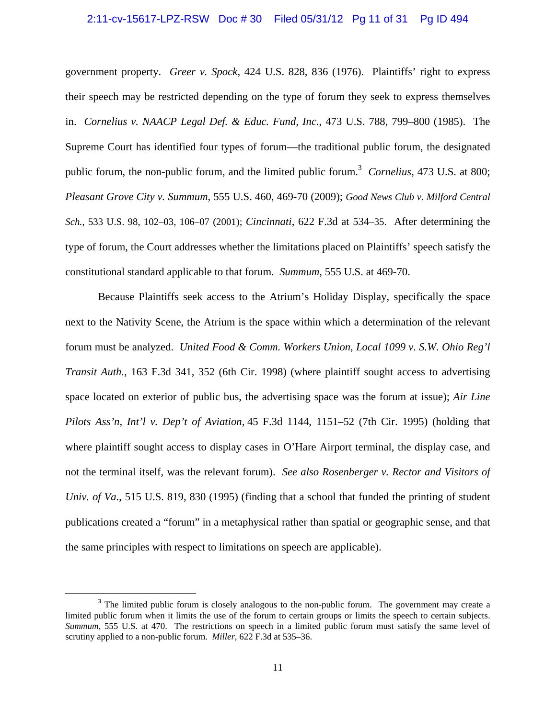#### 2:11-cv-15617-LPZ-RSW Doc # 30 Filed 05/31/12 Pg 11 of 31 Pg ID 494

government property. *Greer v. Spock*, 424 U.S. 828, 836 (1976). Plaintiffs' right to express their speech may be restricted depending on the type of forum they seek to express themselves in. *Cornelius v. NAACP Legal Def. & Educ. Fund, Inc.*, 473 U.S. 788, 799–800 (1985). The Supreme Court has identified four types of forum—the traditional public forum, the designated public forum, the non-public forum, and the limited public forum.<sup>3</sup> *Cornelius*, 473 U.S. at 800; *Pleasant Grove City v. Summum*, 555 U.S. 460, 469-70 (2009); *Good News Club v. Milford Central Sch.*, 533 U.S. 98, 102–03, 106–07 (2001); *Cincinnati*, 622 F.3d at 534–35. After determining the type of forum, the Court addresses whether the limitations placed on Plaintiffs' speech satisfy the constitutional standard applicable to that forum. *Summum*, 555 U.S. at 469-70.

Because Plaintiffs seek access to the Atrium's Holiday Display, specifically the space next to the Nativity Scene, the Atrium is the space within which a determination of the relevant forum must be analyzed. *United Food & Comm. Workers Union, Local 1099 v. S.W. Ohio Reg'l Transit Auth.*, 163 F.3d 341, 352 (6th Cir. 1998) (where plaintiff sought access to advertising space located on exterior of public bus, the advertising space was the forum at issue); *Air Line Pilots Ass'n, Int'l v. Dep't of Aviation,* 45 F.3d 1144, 1151–52 (7th Cir. 1995) (holding that where plaintiff sought access to display cases in O'Hare Airport terminal, the display case, and not the terminal itself, was the relevant forum). *See also Rosenberger v. Rector and Visitors of Univ. of Va.*, 515 U.S. 819, 830 (1995) (finding that a school that funded the printing of student publications created a "forum" in a metaphysical rather than spatial or geographic sense, and that the same principles with respect to limitations on speech are applicable).

<sup>&</sup>lt;sup>3</sup> The limited public forum is closely analogous to the non-public forum. The government may create a limited public forum when it limits the use of the forum to certain groups or limits the speech to certain subjects. *Summum*, 555 U.S. at 470. The restrictions on speech in a limited public forum must satisfy the same level of scrutiny applied to a non-public forum. *Miller*, 622 F.3d at 535–36.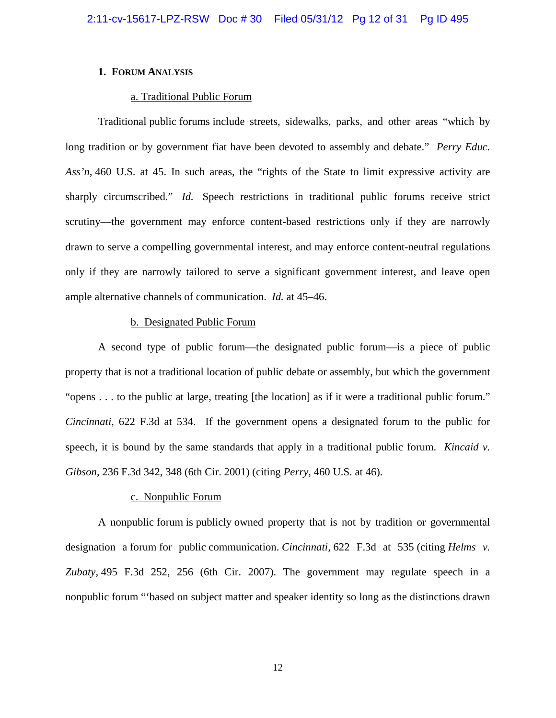### **1. FORUM ANALYSIS**

### a. Traditional Public Forum

Traditional public forums include streets, sidewalks, parks, and other areas "which by long tradition or by government fiat have been devoted to assembly and debate." *Perry Educ. Ass'n,* 460 U.S. at 45. In such areas, the "rights of the State to limit expressive activity are sharply circumscribed." *Id.* Speech restrictions in traditional public forums receive strict scrutiny—the government may enforce content-based restrictions only if they are narrowly drawn to serve a compelling governmental interest, and may enforce content-neutral regulations only if they are narrowly tailored to serve a significant government interest, and leave open ample alternative channels of communication. *Id.* at 45–46.

#### b. Designated Public Forum

A second type of public forum—the designated public forum—is a piece of public property that is not a traditional location of public debate or assembly, but which the government "opens . . . to the public at large, treating [the location] as if it were a traditional public forum." *Cincinnati*, 622 F.3d at 534. If the government opens a designated forum to the public for speech, it is bound by the same standards that apply in a traditional public forum. *Kincaid v. Gibson*, 236 F.3d 342, 348 (6th Cir. 2001) (citing *Perry*, 460 U.S. at 46).

#### c. Nonpublic Forum

A nonpublic forum is publicly owned property that is not by tradition or governmental designation a forum for public communication. *Cincinnati,* 622 F.3d at 535 (citing *Helms v. Zubaty,* 495 F.3d 252, 256 (6th Cir. 2007). The government may regulate speech in a nonpublic forum "'based on subject matter and speaker identity so long as the distinctions drawn

12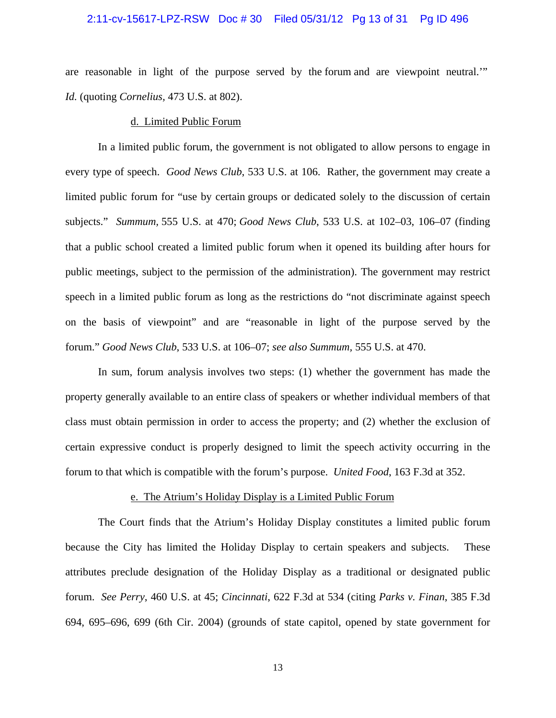#### 2:11-cv-15617-LPZ-RSW Doc # 30 Filed 05/31/12 Pg 13 of 31 Pg ID 496

are reasonable in light of the purpose served by the forum and are viewpoint neutral.'" *Id.* (quoting *Cornelius,* 473 U.S. at 802).

#### d. Limited Public Forum

In a limited public forum, the government is not obligated to allow persons to engage in every type of speech. *Good News Club*, 533 U.S. at 106. Rather, the government may create a limited public forum for "use by certain groups or dedicated solely to the discussion of certain subjects." *Summum,* 555 U.S. at 470; *Good News Club*, 533 U.S. at 102–03, 106–07 (finding that a public school created a limited public forum when it opened its building after hours for public meetings, subject to the permission of the administration). The government may restrict speech in a limited public forum as long as the restrictions do "not discriminate against speech on the basis of viewpoint" and are "reasonable in light of the purpose served by the forum." *Good News Club*, 533 U.S. at 106–07; *see also Summum,* 555 U.S. at 470.

In sum, forum analysis involves two steps: (1) whether the government has made the property generally available to an entire class of speakers or whether individual members of that class must obtain permission in order to access the property; and (2) whether the exclusion of certain expressive conduct is properly designed to limit the speech activity occurring in the forum to that which is compatible with the forum's purpose. *United Food*, 163 F.3d at 352.

#### e. The Atrium's Holiday Display is a Limited Public Forum

The Court finds that the Atrium's Holiday Display constitutes a limited public forum because the City has limited the Holiday Display to certain speakers and subjects. These attributes preclude designation of the Holiday Display as a traditional or designated public forum. *See Perry*, 460 U.S. at 45; *Cincinnati*, 622 F.3d at 534 (citing *Parks v. Finan*, 385 F.3d 694, 695–696, 699 (6th Cir. 2004) (grounds of state capitol, opened by state government for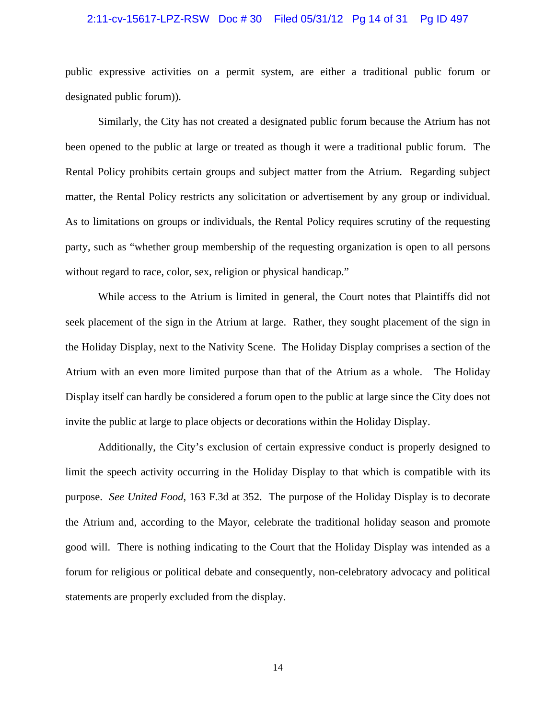#### 2:11-cv-15617-LPZ-RSW Doc # 30 Filed 05/31/12 Pg 14 of 31 Pg ID 497

public expressive activities on a permit system, are either a traditional public forum or designated public forum)).

Similarly, the City has not created a designated public forum because the Atrium has not been opened to the public at large or treated as though it were a traditional public forum. The Rental Policy prohibits certain groups and subject matter from the Atrium. Regarding subject matter, the Rental Policy restricts any solicitation or advertisement by any group or individual. As to limitations on groups or individuals, the Rental Policy requires scrutiny of the requesting party, such as "whether group membership of the requesting organization is open to all persons without regard to race, color, sex, religion or physical handicap."

While access to the Atrium is limited in general, the Court notes that Plaintiffs did not seek placement of the sign in the Atrium at large. Rather, they sought placement of the sign in the Holiday Display, next to the Nativity Scene. The Holiday Display comprises a section of the Atrium with an even more limited purpose than that of the Atrium as a whole. The Holiday Display itself can hardly be considered a forum open to the public at large since the City does not invite the public at large to place objects or decorations within the Holiday Display.

Additionally, the City's exclusion of certain expressive conduct is properly designed to limit the speech activity occurring in the Holiday Display to that which is compatible with its purpose. *See United Food*, 163 F.3d at 352. The purpose of the Holiday Display is to decorate the Atrium and, according to the Mayor, celebrate the traditional holiday season and promote good will. There is nothing indicating to the Court that the Holiday Display was intended as a forum for religious or political debate and consequently, non-celebratory advocacy and political statements are properly excluded from the display.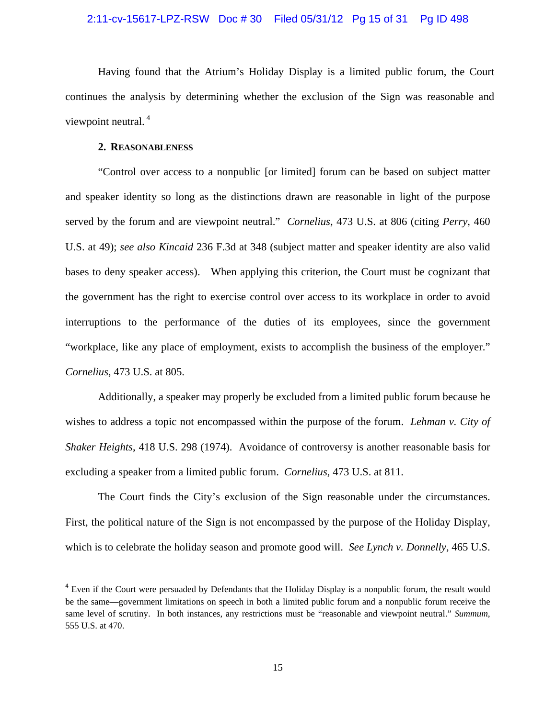#### 2:11-cv-15617-LPZ-RSW Doc # 30 Filed 05/31/12 Pg 15 of 31 Pg ID 498

Having found that the Atrium's Holiday Display is a limited public forum, the Court continues the analysis by determining whether the exclusion of the Sign was reasonable and viewpoint neutral. 4

### **2. REASONABLENESS**

"Control over access to a nonpublic [or limited] forum can be based on subject matter and speaker identity so long as the distinctions drawn are reasonable in light of the purpose served by the forum and are viewpoint neutral." *Cornelius*, 473 U.S. at 806 (citing *Perry*, 460 U.S. at 49); *see also Kincaid* 236 F.3d at 348 (subject matter and speaker identity are also valid bases to deny speaker access). When applying this criterion, the Court must be cognizant that the government has the right to exercise control over access to its workplace in order to avoid interruptions to the performance of the duties of its employees, since the government "workplace, like any place of employment, exists to accomplish the business of the employer." *Cornelius*, 473 U.S. at 805.

Additionally, a speaker may properly be excluded from a limited public forum because he wishes to address a topic not encompassed within the purpose of the forum. *Lehman v. City of Shaker Heights*, 418 U.S. 298 (1974). Avoidance of controversy is another reasonable basis for excluding a speaker from a limited public forum. *Cornelius*, 473 U.S. at 811.

The Court finds the City's exclusion of the Sign reasonable under the circumstances. First, the political nature of the Sign is not encompassed by the purpose of the Holiday Display, which is to celebrate the holiday season and promote good will. *See Lynch v. Donnelly*, 465 U.S.

<sup>&</sup>lt;sup>4</sup> Even if the Court were persuaded by Defendants that the Holiday Display is a nonpublic forum, the result would be the same—government limitations on speech in both a limited public forum and a nonpublic forum receive the same level of scrutiny. In both instances, any restrictions must be "reasonable and viewpoint neutral." *Summum*, 555 U.S. at 470.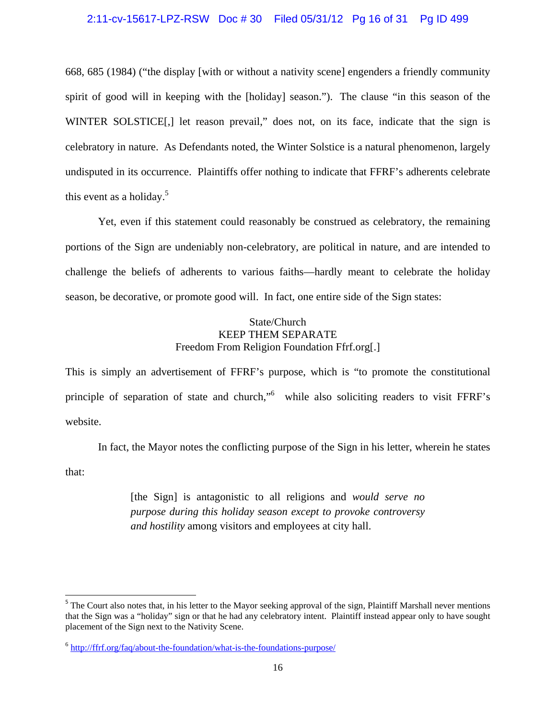### 2:11-cv-15617-LPZ-RSW Doc # 30 Filed 05/31/12 Pg 16 of 31 Pg ID 499

668, 685 (1984) ("the display [with or without a nativity scene] engenders a friendly community spirit of good will in keeping with the [holiday] season."). The clause "in this season of the WINTER SOLSTICE[.] let reason prevail," does not, on its face, indicate that the sign is celebratory in nature. As Defendants noted, the Winter Solstice is a natural phenomenon, largely undisputed in its occurrence. Plaintiffs offer nothing to indicate that FFRF's adherents celebrate this event as a holiday. $5$ 

Yet, even if this statement could reasonably be construed as celebratory, the remaining portions of the Sign are undeniably non-celebratory, are political in nature, and are intended to challenge the beliefs of adherents to various faiths—hardly meant to celebrate the holiday season, be decorative, or promote good will. In fact, one entire side of the Sign states:

## State/Church KEEP THEM SEPARATE Freedom From Religion Foundation Ffrf.org[.]

This is simply an advertisement of FFRF's purpose, which is "to promote the constitutional principle of separation of state and church,"<sup>6</sup> while also soliciting readers to visit FFRF's website.

In fact, the Mayor notes the conflicting purpose of the Sign in his letter, wherein he states that:

> [the Sign] is antagonistic to all religions and *would serve no purpose during this holiday season except to provoke controversy and hostility* among visitors and employees at city hall.

<sup>&</sup>lt;sup>5</sup> The Court also notes that, in his letter to the Mayor seeking approval of the sign, Plaintiff Marshall never mentions that the Sign was a "holiday" sign or that he had any celebratory intent. Plaintiff instead appear only to have sought placement of the Sign next to the Nativity Scene.

<sup>6</sup> http://ffrf.org/faq/about-the-foundation/what-is-the-foundations-purpose/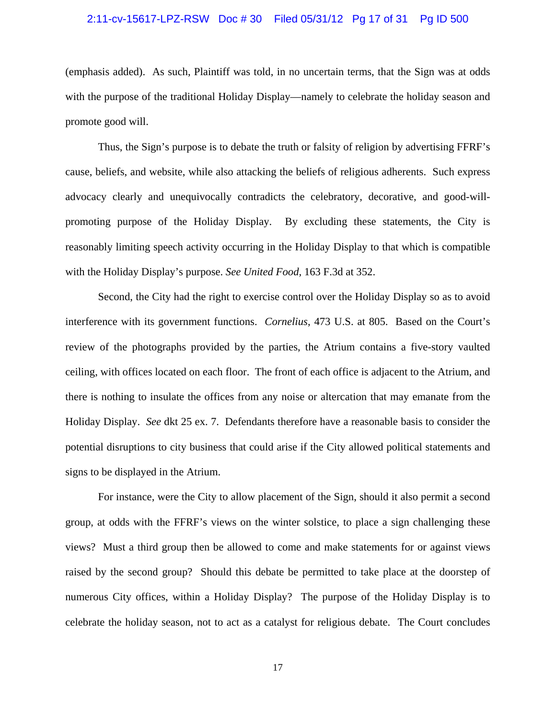#### 2:11-cv-15617-LPZ-RSW Doc # 30 Filed 05/31/12 Pg 17 of 31 Pg ID 500

(emphasis added). As such, Plaintiff was told, in no uncertain terms, that the Sign was at odds with the purpose of the traditional Holiday Display—namely to celebrate the holiday season and promote good will.

Thus, the Sign's purpose is to debate the truth or falsity of religion by advertising FFRF's cause, beliefs, and website, while also attacking the beliefs of religious adherents. Such express advocacy clearly and unequivocally contradicts the celebratory, decorative, and good-willpromoting purpose of the Holiday Display. By excluding these statements, the City is reasonably limiting speech activity occurring in the Holiday Display to that which is compatible with the Holiday Display's purpose. *See United Food,* 163 F.3d at 352.

Second, the City had the right to exercise control over the Holiday Display so as to avoid interference with its government functions. *Cornelius*, 473 U.S. at 805. Based on the Court's review of the photographs provided by the parties, the Atrium contains a five-story vaulted ceiling, with offices located on each floor. The front of each office is adjacent to the Atrium, and there is nothing to insulate the offices from any noise or altercation that may emanate from the Holiday Display. *See* dkt 25 ex. 7. Defendants therefore have a reasonable basis to consider the potential disruptions to city business that could arise if the City allowed political statements and signs to be displayed in the Atrium.

For instance, were the City to allow placement of the Sign, should it also permit a second group, at odds with the FFRF's views on the winter solstice, to place a sign challenging these views? Must a third group then be allowed to come and make statements for or against views raised by the second group? Should this debate be permitted to take place at the doorstep of numerous City offices, within a Holiday Display? The purpose of the Holiday Display is to celebrate the holiday season, not to act as a catalyst for religious debate. The Court concludes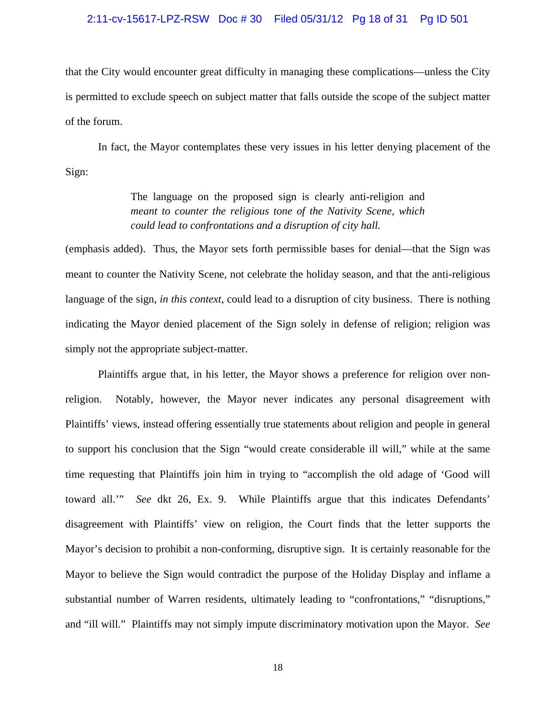#### 2:11-cv-15617-LPZ-RSW Doc # 30 Filed 05/31/12 Pg 18 of 31 Pg ID 501

that the City would encounter great difficulty in managing these complications—unless the City is permitted to exclude speech on subject matter that falls outside the scope of the subject matter of the forum.

In fact, the Mayor contemplates these very issues in his letter denying placement of the Sign:

> The language on the proposed sign is clearly anti-religion and *meant to counter the religious tone of the Nativity Scene, which could lead to confrontations and a disruption of city hall.*

(emphasis added). Thus, the Mayor sets forth permissible bases for denial—that the Sign was meant to counter the Nativity Scene, not celebrate the holiday season, and that the anti-religious language of the sign, *in this context*, could lead to a disruption of city business. There is nothing indicating the Mayor denied placement of the Sign solely in defense of religion; religion was simply not the appropriate subject-matter.

 Plaintiffs argue that, in his letter, the Mayor shows a preference for religion over nonreligion. Notably, however, the Mayor never indicates any personal disagreement with Plaintiffs' views, instead offering essentially true statements about religion and people in general to support his conclusion that the Sign "would create considerable ill will," while at the same time requesting that Plaintiffs join him in trying to "accomplish the old adage of 'Good will toward all.'" *See* dkt 26, Ex. 9. While Plaintiffs argue that this indicates Defendants' disagreement with Plaintiffs' view on religion, the Court finds that the letter supports the Mayor's decision to prohibit a non-conforming, disruptive sign. It is certainly reasonable for the Mayor to believe the Sign would contradict the purpose of the Holiday Display and inflame a substantial number of Warren residents, ultimately leading to "confrontations," "disruptions," and "ill will." Plaintiffs may not simply impute discriminatory motivation upon the Mayor. *See*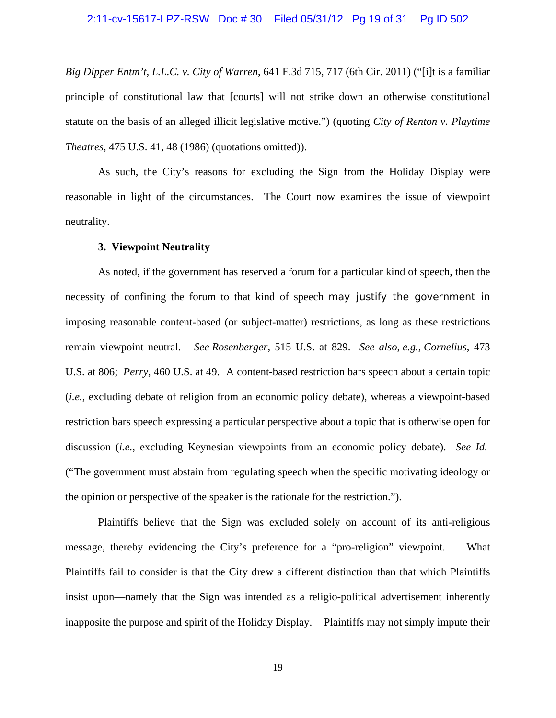#### 2:11-cv-15617-LPZ-RSW Doc # 30 Filed 05/31/12 Pg 19 of 31 Pg ID 502

*Big Dipper Entm't, L.L.C. v. City of Warren*, 641 F.3d 715, 717 (6th Cir. 2011) ("[i]t is a familiar principle of constitutional law that [courts] will not strike down an otherwise constitutional statute on the basis of an alleged illicit legislative motive.") (quoting *City of Renton v. Playtime Theatres*, 475 U.S. 41, 48 (1986) (quotations omitted)).

As such, the City's reasons for excluding the Sign from the Holiday Display were reasonable in light of the circumstances. The Court now examines the issue of viewpoint neutrality.

#### **3. Viewpoint Neutrality**

As noted, if the government has reserved a forum for a particular kind of speech, then the necessity of confining the forum to that kind of speech may justify the government in imposing reasonable content-based (or subject-matter) restrictions, as long as these restrictions remain viewpoint neutral. *See Rosenberger*, 515 U.S. at 829. *See also*, *e.g., Cornelius*, 473 U.S. at 806; *Perry*, 460 U.S. at 49. A content-based restriction bars speech about a certain topic (*i.e.*, excluding debate of religion from an economic policy debate), whereas a viewpoint-based restriction bars speech expressing a particular perspective about a topic that is otherwise open for discussion (*i.e.*, excluding Keynesian viewpoints from an economic policy debate). *See Id.* ("The government must abstain from regulating speech when the specific motivating ideology or the opinion or perspective of the speaker is the rationale for the restriction.").

Plaintiffs believe that the Sign was excluded solely on account of its anti-religious message, thereby evidencing the City's preference for a "pro-religion" viewpoint. What Plaintiffs fail to consider is that the City drew a different distinction than that which Plaintiffs insist upon—namely that the Sign was intended as a religio-political advertisement inherently inapposite the purpose and spirit of the Holiday Display. Plaintiffs may not simply impute their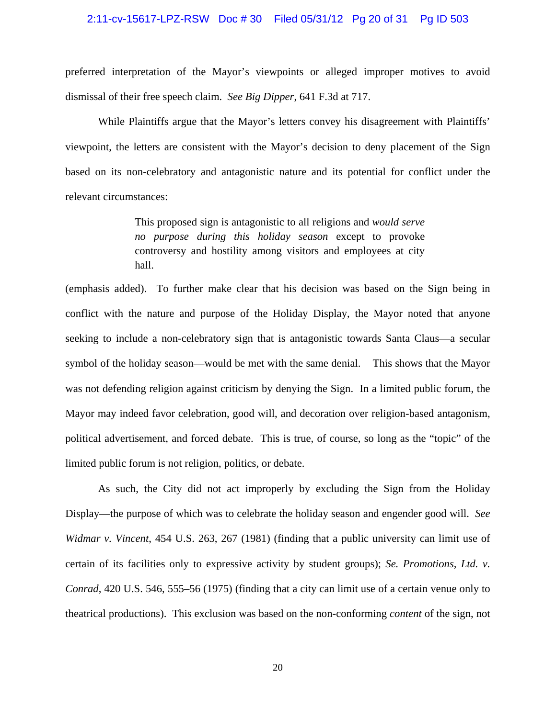#### 2:11-cv-15617-LPZ-RSW Doc # 30 Filed 05/31/12 Pg 20 of 31 Pg ID 503

preferred interpretation of the Mayor's viewpoints or alleged improper motives to avoid dismissal of their free speech claim. *See Big Dipper*, 641 F.3d at 717.

While Plaintiffs argue that the Mayor's letters convey his disagreement with Plaintiffs' viewpoint, the letters are consistent with the Mayor's decision to deny placement of the Sign based on its non-celebratory and antagonistic nature and its potential for conflict under the relevant circumstances:

> This proposed sign is antagonistic to all religions and *would serve no purpose during this holiday season* except to provoke controversy and hostility among visitors and employees at city hall.

(emphasis added). To further make clear that his decision was based on the Sign being in conflict with the nature and purpose of the Holiday Display, the Mayor noted that anyone seeking to include a non-celebratory sign that is antagonistic towards Santa Claus—a secular symbol of the holiday season—would be met with the same denial. This shows that the Mayor was not defending religion against criticism by denying the Sign. In a limited public forum, the Mayor may indeed favor celebration, good will, and decoration over religion-based antagonism, political advertisement, and forced debate. This is true, of course, so long as the "topic" of the limited public forum is not religion, politics, or debate.

As such, the City did not act improperly by excluding the Sign from the Holiday Display—the purpose of which was to celebrate the holiday season and engender good will. *See Widmar v. Vincent*, 454 U.S. 263, 267 (1981) (finding that a public university can limit use of certain of its facilities only to expressive activity by student groups); *Se. Promotions, Ltd. v. Conrad*, 420 U.S. 546, 555–56 (1975) (finding that a city can limit use of a certain venue only to theatrical productions). This exclusion was based on the non-conforming *content* of the sign, not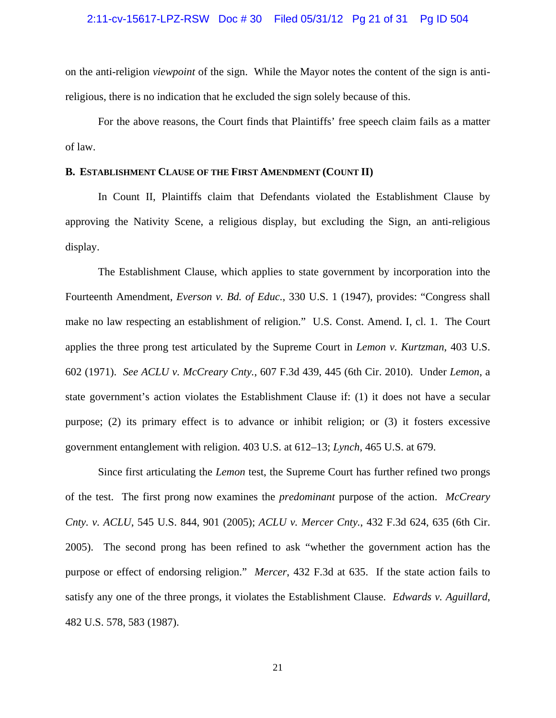#### 2:11-cv-15617-LPZ-RSW Doc # 30 Filed 05/31/12 Pg 21 of 31 Pg ID 504

on the anti-religion *viewpoint* of the sign. While the Mayor notes the content of the sign is antireligious, there is no indication that he excluded the sign solely because of this.

For the above reasons, the Court finds that Plaintiffs' free speech claim fails as a matter of law.

### **B. ESTABLISHMENT CLAUSE OF THE FIRST AMENDMENT (COUNT II)**

In Count II, Plaintiffs claim that Defendants violated the Establishment Clause by approving the Nativity Scene, a religious display, but excluding the Sign, an anti-religious display.

The Establishment Clause, which applies to state government by incorporation into the Fourteenth Amendment, *Everson v. Bd. of Educ.*, 330 U.S. 1 (1947), provides: "Congress shall make no law respecting an establishment of religion." U.S. Const. Amend. I, cl. 1. The Court applies the three prong test articulated by the Supreme Court in *Lemon v. Kurtzman*, 403 U.S. 602 (1971). *See ACLU v. McCreary Cnty.*, 607 F.3d 439, 445 (6th Cir. 2010). Under *Lemon*, a state government's action violates the Establishment Clause if: (1) it does not have a secular purpose; (2) its primary effect is to advance or inhibit religion; or (3) it fosters excessive government entanglement with religion. 403 U.S. at 612–13; *Lynch*, 465 U.S. at 679.

Since first articulating the *Lemon* test, the Supreme Court has further refined two prongs of the test. The first prong now examines the *predominant* purpose of the action. *McCreary Cnty. v. ACLU*, 545 U.S. 844, 901 (2005); *ACLU v. Mercer Cnty.*, 432 F.3d 624, 635 (6th Cir. 2005). The second prong has been refined to ask "whether the government action has the purpose or effect of endorsing religion." *Mercer*, 432 F.3d at 635. If the state action fails to satisfy any one of the three prongs, it violates the Establishment Clause. *Edwards v. Aguillard*, 482 U.S. 578, 583 (1987).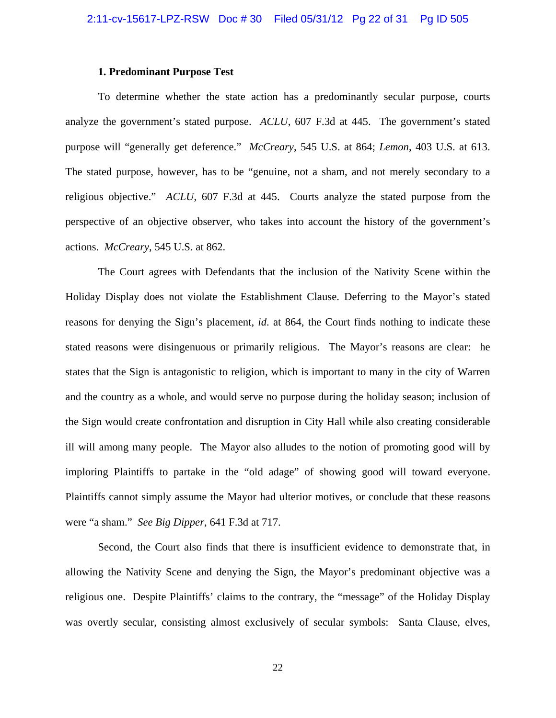### **1. Predominant Purpose Test**

To determine whether the state action has a predominantly secular purpose, courts analyze the government's stated purpose. *ACLU*, 607 F.3d at 445. The government's stated purpose will "generally get deference." *McCreary*, 545 U.S. at 864; *Lemon*, 403 U.S. at 613. The stated purpose, however, has to be "genuine, not a sham, and not merely secondary to a religious objective." *ACLU*, 607 F.3d at 445. Courts analyze the stated purpose from the perspective of an objective observer, who takes into account the history of the government's actions. *McCreary*, 545 U.S. at 862.

The Court agrees with Defendants that the inclusion of the Nativity Scene within the Holiday Display does not violate the Establishment Clause. Deferring to the Mayor's stated reasons for denying the Sign's placement, *id*. at 864, the Court finds nothing to indicate these stated reasons were disingenuous or primarily religious. The Mayor's reasons are clear: he states that the Sign is antagonistic to religion, which is important to many in the city of Warren and the country as a whole, and would serve no purpose during the holiday season; inclusion of the Sign would create confrontation and disruption in City Hall while also creating considerable ill will among many people. The Mayor also alludes to the notion of promoting good will by imploring Plaintiffs to partake in the "old adage" of showing good will toward everyone. Plaintiffs cannot simply assume the Mayor had ulterior motives, or conclude that these reasons were "a sham." *See Big Dipper*, 641 F.3d at 717.

Second, the Court also finds that there is insufficient evidence to demonstrate that, in allowing the Nativity Scene and denying the Sign, the Mayor's predominant objective was a religious one. Despite Plaintiffs' claims to the contrary, the "message" of the Holiday Display was overtly secular, consisting almost exclusively of secular symbols: Santa Clause, elves,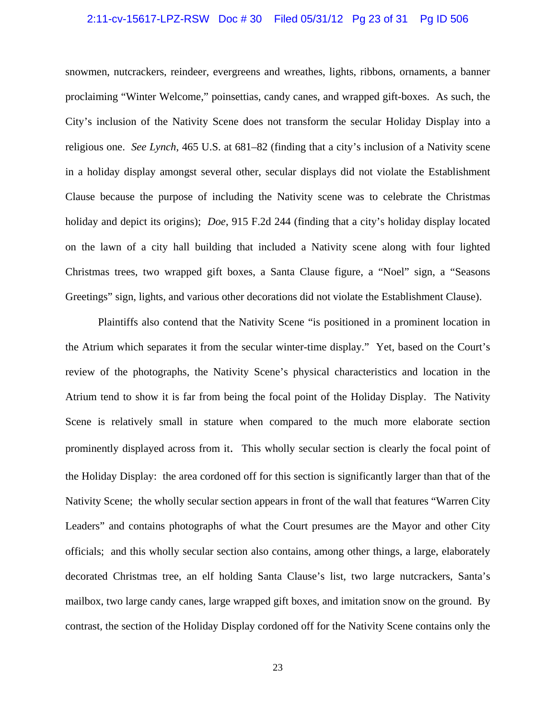#### 2:11-cv-15617-LPZ-RSW Doc # 30 Filed 05/31/12 Pg 23 of 31 Pg ID 506

snowmen, nutcrackers, reindeer, evergreens and wreathes, lights, ribbons, ornaments, a banner proclaiming "Winter Welcome," poinsettias, candy canes, and wrapped gift-boxes. As such, the City's inclusion of the Nativity Scene does not transform the secular Holiday Display into a religious one. *See Lynch*, 465 U.S. at 681–82 (finding that a city's inclusion of a Nativity scene in a holiday display amongst several other, secular displays did not violate the Establishment Clause because the purpose of including the Nativity scene was to celebrate the Christmas holiday and depict its origins); *Doe*, 915 F.2d 244 (finding that a city's holiday display located on the lawn of a city hall building that included a Nativity scene along with four lighted Christmas trees, two wrapped gift boxes, a Santa Clause figure, a "Noel" sign, a "Seasons Greetings" sign, lights, and various other decorations did not violate the Establishment Clause).

Plaintiffs also contend that the Nativity Scene "is positioned in a prominent location in the Atrium which separates it from the secular winter-time display." Yet, based on the Court's review of the photographs, the Nativity Scene's physical characteristics and location in the Atrium tend to show it is far from being the focal point of the Holiday Display. The Nativity Scene is relatively small in stature when compared to the much more elaborate section prominently displayed across from it. This wholly secular section is clearly the focal point of the Holiday Display: the area cordoned off for this section is significantly larger than that of the Nativity Scene; the wholly secular section appears in front of the wall that features "Warren City Leaders" and contains photographs of what the Court presumes are the Mayor and other City officials; and this wholly secular section also contains, among other things, a large, elaborately decorated Christmas tree, an elf holding Santa Clause's list, two large nutcrackers, Santa's mailbox, two large candy canes, large wrapped gift boxes, and imitation snow on the ground. By contrast, the section of the Holiday Display cordoned off for the Nativity Scene contains only the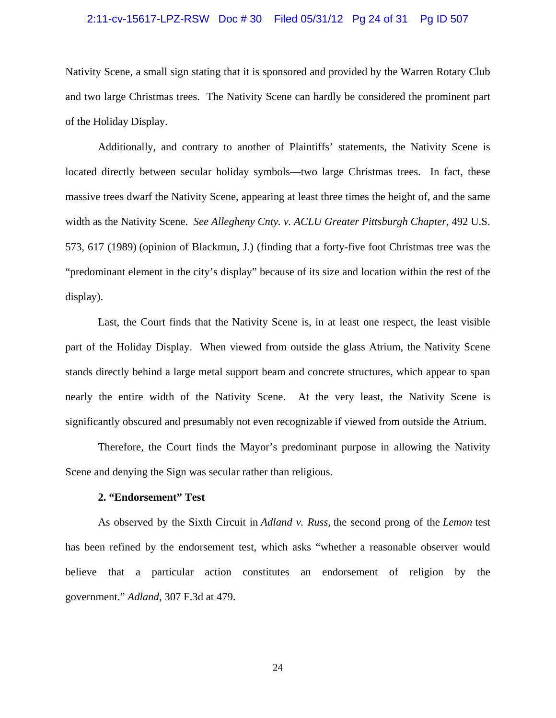#### 2:11-cv-15617-LPZ-RSW Doc # 30 Filed 05/31/12 Pg 24 of 31 Pg ID 507

Nativity Scene, a small sign stating that it is sponsored and provided by the Warren Rotary Club and two large Christmas trees. The Nativity Scene can hardly be considered the prominent part of the Holiday Display.

Additionally, and contrary to another of Plaintiffs' statements, the Nativity Scene is located directly between secular holiday symbols—two large Christmas trees. In fact, these massive trees dwarf the Nativity Scene, appearing at least three times the height of, and the same width as the Nativity Scene. *See Allegheny Cnty. v. ACLU Greater Pittsburgh Chapter*, 492 U.S. 573, 617 (1989) (opinion of Blackmun, J.) (finding that a forty-five foot Christmas tree was the "predominant element in the city's display" because of its size and location within the rest of the display).

Last, the Court finds that the Nativity Scene is, in at least one respect, the least visible part of the Holiday Display. When viewed from outside the glass Atrium, the Nativity Scene stands directly behind a large metal support beam and concrete structures, which appear to span nearly the entire width of the Nativity Scene. At the very least, the Nativity Scene is significantly obscured and presumably not even recognizable if viewed from outside the Atrium.

Therefore, the Court finds the Mayor's predominant purpose in allowing the Nativity Scene and denying the Sign was secular rather than religious.

#### **2. "Endorsement" Test**

 As observed by the Sixth Circuit in *Adland v. Russ*, the second prong of the *Lemon* test has been refined by the endorsement test, which asks "whether a reasonable observer would believe that a particular action constitutes an endorsement of religion by the government." *Adland*, 307 F.3d at 479.

24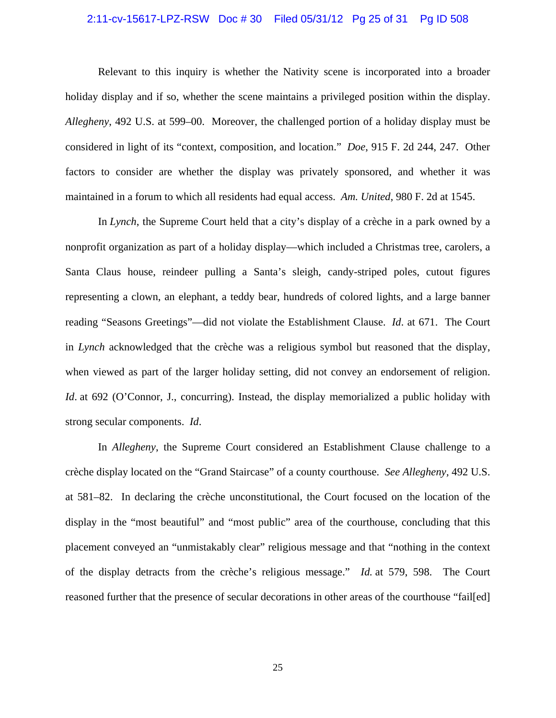#### 2:11-cv-15617-LPZ-RSW Doc # 30 Filed 05/31/12 Pg 25 of 31 Pg ID 508

 Relevant to this inquiry is whether the Nativity scene is incorporated into a broader holiday display and if so, whether the scene maintains a privileged position within the display. *Allegheny*, 492 U.S. at 599–00. Moreover, the challenged portion of a holiday display must be considered in light of its "context, composition, and location." *Doe*, 915 F. 2d 244, 247. Other factors to consider are whether the display was privately sponsored, and whether it was maintained in a forum to which all residents had equal access. *Am. United*, 980 F. 2d at 1545.

In *Lynch*, the Supreme Court held that a city's display of a crèche in a park owned by a nonprofit organization as part of a holiday display—which included a Christmas tree, carolers, a Santa Claus house, reindeer pulling a Santa's sleigh, candy-striped poles, cutout figures representing a clown, an elephant, a teddy bear, hundreds of colored lights, and a large banner reading "Seasons Greetings"—did not violate the Establishment Clause. *Id*. at 671. The Court in *Lynch* acknowledged that the crèche was a religious symbol but reasoned that the display, when viewed as part of the larger holiday setting, did not convey an endorsement of religion. *Id.* at 692 (O'Connor, J., concurring). Instead, the display memorialized a public holiday with strong secular components. *Id*.

 In *Allegheny*, the Supreme Court considered an Establishment Clause challenge to a crèche display located on the "Grand Staircase" of a county courthouse. *See Allegheny,* 492 U.S. at 581–82. In declaring the crèche unconstitutional, the Court focused on the location of the display in the "most beautiful" and "most public" area of the courthouse, concluding that this placement conveyed an "unmistakably clear" religious message and that "nothing in the context of the display detracts from the crèche's religious message." *Id.* at 579, 598. The Court reasoned further that the presence of secular decorations in other areas of the courthouse "fail[ed]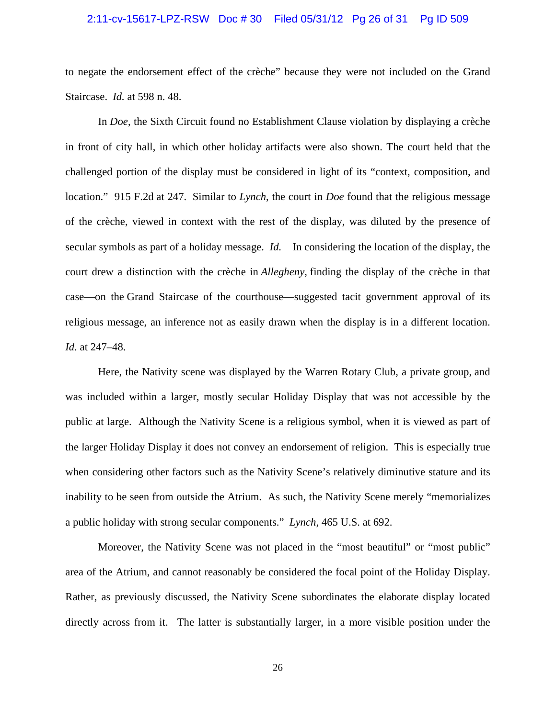#### 2:11-cv-15617-LPZ-RSW Doc # 30 Filed 05/31/12 Pg 26 of 31 Pg ID 509

to negate the endorsement effect of the crèche" because they were not included on the Grand Staircase. *Id.* at 598 n. 48.

 In *Doe*, the Sixth Circuit found no Establishment Clause violation by displaying a crèche in front of city hall, in which other holiday artifacts were also shown. The court held that the challenged portion of the display must be considered in light of its "context, composition, and location." 915 F.2d at 247. Similar to *Lynch*, the court in *Doe* found that the religious message of the crèche, viewed in context with the rest of the display, was diluted by the presence of secular symbols as part of a holiday message. *Id.* In considering the location of the display, the court drew a distinction with the crèche in *Allegheny,* finding the display of the crèche in that case—on the Grand Staircase of the courthouse—suggested tacit government approval of its religious message, an inference not as easily drawn when the display is in a different location. *Id.* at 247–48.

Here, the Nativity scene was displayed by the Warren Rotary Club, a private group, and was included within a larger, mostly secular Holiday Display that was not accessible by the public at large. Although the Nativity Scene is a religious symbol, when it is viewed as part of the larger Holiday Display it does not convey an endorsement of religion. This is especially true when considering other factors such as the Nativity Scene's relatively diminutive stature and its inability to be seen from outside the Atrium. As such, the Nativity Scene merely "memorializes a public holiday with strong secular components." *Lynch*, 465 U.S. at 692.

Moreover, the Nativity Scene was not placed in the "most beautiful" or "most public" area of the Atrium, and cannot reasonably be considered the focal point of the Holiday Display. Rather, as previously discussed, the Nativity Scene subordinates the elaborate display located directly across from it. The latter is substantially larger, in a more visible position under the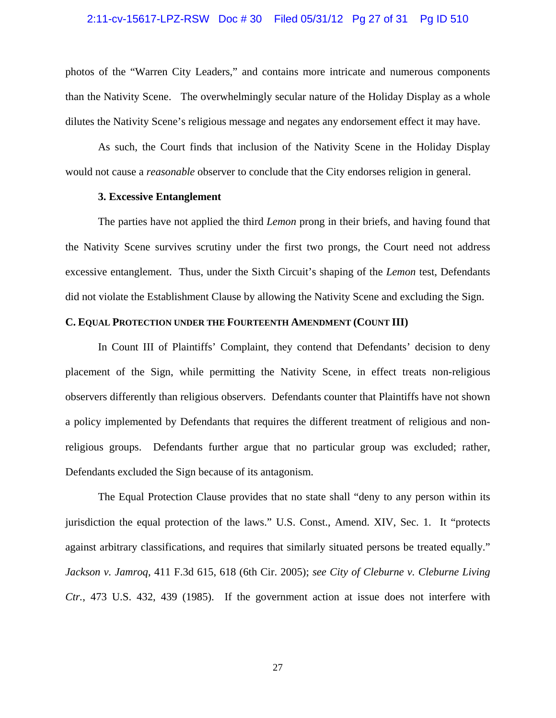#### 2:11-cv-15617-LPZ-RSW Doc # 30 Filed 05/31/12 Pg 27 of 31 Pg ID 510

photos of the "Warren City Leaders," and contains more intricate and numerous components than the Nativity Scene. The overwhelmingly secular nature of the Holiday Display as a whole dilutes the Nativity Scene's religious message and negates any endorsement effect it may have.

As such, the Court finds that inclusion of the Nativity Scene in the Holiday Display would not cause a *reasonable* observer to conclude that the City endorses religion in general.

### **3. Excessive Entanglement**

 The parties have not applied the third *Lemon* prong in their briefs, and having found that the Nativity Scene survives scrutiny under the first two prongs, the Court need not address excessive entanglement. Thus, under the Sixth Circuit's shaping of the *Lemon* test, Defendants did not violate the Establishment Clause by allowing the Nativity Scene and excluding the Sign.

## **C. EQUAL PROTECTION UNDER THE FOURTEENTH AMENDMENT (COUNT III)**

 In Count III of Plaintiffs' Complaint, they contend that Defendants' decision to deny placement of the Sign, while permitting the Nativity Scene, in effect treats non-religious observers differently than religious observers. Defendants counter that Plaintiffs have not shown a policy implemented by Defendants that requires the different treatment of religious and nonreligious groups. Defendants further argue that no particular group was excluded; rather, Defendants excluded the Sign because of its antagonism.

 The Equal Protection Clause provides that no state shall "deny to any person within its jurisdiction the equal protection of the laws." U.S. Const., Amend. XIV, Sec. 1. It "protects against arbitrary classifications, and requires that similarly situated persons be treated equally." *Jackson v. Jamroq*, 411 F.3d 615, 618 (6th Cir. 2005); *see City of Cleburne v. Cleburne Living Ctr.*, 473 U.S. 432, 439 (1985). If the government action at issue does not interfere with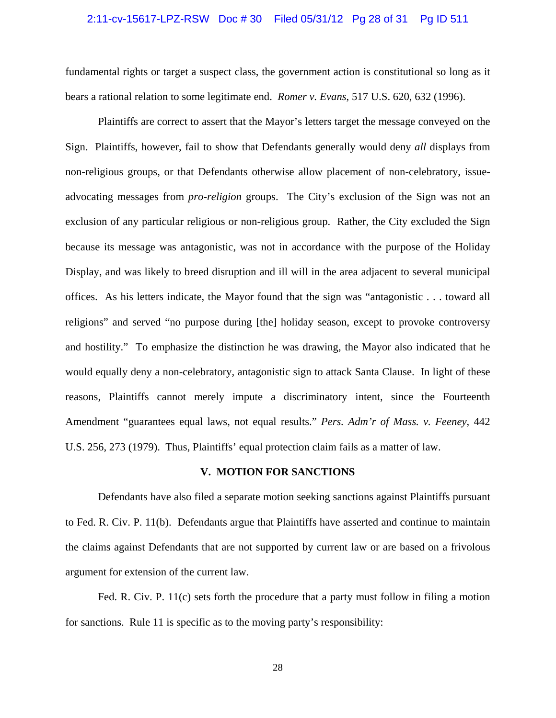#### 2:11-cv-15617-LPZ-RSW Doc # 30 Filed 05/31/12 Pg 28 of 31 Pg ID 511

fundamental rights or target a suspect class, the government action is constitutional so long as it bears a rational relation to some legitimate end. *Romer v. Evans*, 517 U.S. 620, 632 (1996).

 Plaintiffs are correct to assert that the Mayor's letters target the message conveyed on the Sign. Plaintiffs, however, fail to show that Defendants generally would deny *all* displays from non-religious groups, or that Defendants otherwise allow placement of non-celebratory, issueadvocating messages from *pro-religion* groups. The City's exclusion of the Sign was not an exclusion of any particular religious or non-religious group. Rather, the City excluded the Sign because its message was antagonistic, was not in accordance with the purpose of the Holiday Display, and was likely to breed disruption and ill will in the area adjacent to several municipal offices. As his letters indicate, the Mayor found that the sign was "antagonistic . . . toward all religions" and served "no purpose during [the] holiday season, except to provoke controversy and hostility." To emphasize the distinction he was drawing, the Mayor also indicated that he would equally deny a non-celebratory, antagonistic sign to attack Santa Clause. In light of these reasons, Plaintiffs cannot merely impute a discriminatory intent, since the Fourteenth Amendment "guarantees equal laws, not equal results." *Pers. Adm'r of Mass. v. Feeney*, 442 U.S. 256, 273 (1979). Thus, Plaintiffs' equal protection claim fails as a matter of law.

#### **V. MOTION FOR SANCTIONS**

Defendants have also filed a separate motion seeking sanctions against Plaintiffs pursuant to Fed. R. Civ. P. 11(b). Defendants argue that Plaintiffs have asserted and continue to maintain the claims against Defendants that are not supported by current law or are based on a frivolous argument for extension of the current law.

 Fed. R. Civ. P. 11(c) sets forth the procedure that a party must follow in filing a motion for sanctions. Rule 11 is specific as to the moving party's responsibility: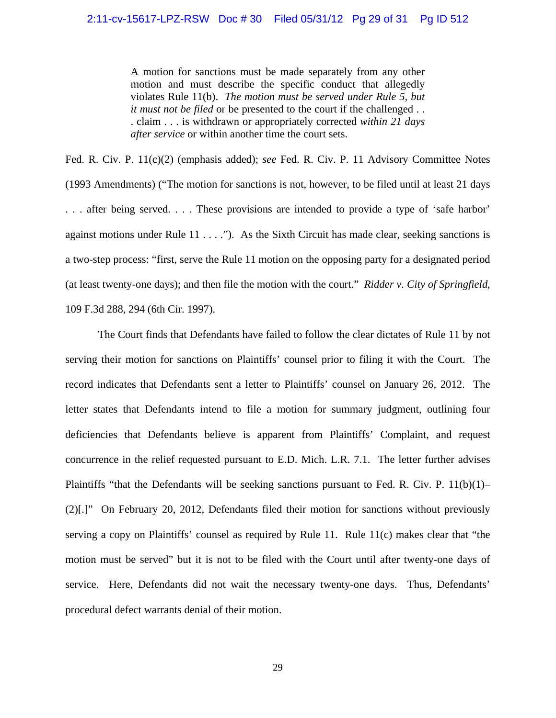A motion for sanctions must be made separately from any other motion and must describe the specific conduct that allegedly violates Rule 11(b). *The motion must be served under Rule 5*, *but it must not be filed* or be presented to the court if the challenged . . . claim . . . is withdrawn or appropriately corrected *within 21 days after service* or within another time the court sets.

Fed. R. Civ. P. 11(c)(2) (emphasis added); *see* Fed. R. Civ. P. 11 Advisory Committee Notes (1993 Amendments) ("The motion for sanctions is not, however, to be filed until at least 21 days . . . after being served. . . . These provisions are intended to provide a type of 'safe harbor' against motions under Rule  $11 \ldots$ ."). As the Sixth Circuit has made clear, seeking sanctions is a two-step process: "first, serve the Rule 11 motion on the opposing party for a designated period (at least twenty-one days); and then file the motion with the court." *Ridder v. City of Springfield*, 109 F.3d 288, 294 (6th Cir. 1997).

 The Court finds that Defendants have failed to follow the clear dictates of Rule 11 by not serving their motion for sanctions on Plaintiffs' counsel prior to filing it with the Court. The record indicates that Defendants sent a letter to Plaintiffs' counsel on January 26, 2012. The letter states that Defendants intend to file a motion for summary judgment, outlining four deficiencies that Defendants believe is apparent from Plaintiffs' Complaint, and request concurrence in the relief requested pursuant to E.D. Mich. L.R. 7.1. The letter further advises Plaintiffs "that the Defendants will be seeking sanctions pursuant to Fed. R. Civ. P. 11(b)(1)– (2)[.]" On February 20, 2012, Defendants filed their motion for sanctions without previously serving a copy on Plaintiffs' counsel as required by Rule 11. Rule 11(c) makes clear that "the motion must be served" but it is not to be filed with the Court until after twenty-one days of service. Here, Defendants did not wait the necessary twenty-one days. Thus, Defendants' procedural defect warrants denial of their motion.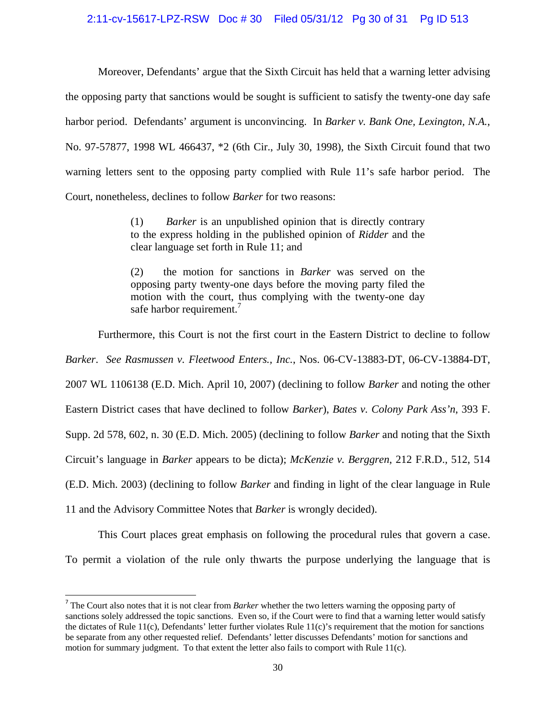#### 2:11-cv-15617-LPZ-RSW Doc # 30 Filed 05/31/12 Pg 30 of 31 Pg ID 513

 Moreover, Defendants' argue that the Sixth Circuit has held that a warning letter advising the opposing party that sanctions would be sought is sufficient to satisfy the twenty-one day safe harbor period. Defendants' argument is unconvincing. In *Barker v. Bank One, Lexington, N.A.*, No. 97-57877, 1998 WL 466437, \*2 (6th Cir., July 30, 1998), the Sixth Circuit found that two warning letters sent to the opposing party complied with Rule 11's safe harbor period. The Court, nonetheless, declines to follow *Barker* for two reasons:

> (1) *Barker* is an unpublished opinion that is directly contrary to the express holding in the published opinion of *Ridder* and the clear language set forth in Rule 11; and

> (2) the motion for sanctions in *Barker* was served on the opposing party twenty-one days before the moving party filed the motion with the court, thus complying with the twenty-one day safe harbor requirement.<sup>7</sup>

Furthermore, this Court is not the first court in the Eastern District to decline to follow

*Barker*. *See Rasmussen v. Fleetwood Enters., Inc.*, Nos. 06-CV-13883-DT, 06-CV-13884-DT,

2007 WL 1106138 (E.D. Mich. April 10, 2007) (declining to follow *Barker* and noting the other

Eastern District cases that have declined to follow *Barker*), *Bates v. Colony Park Ass'n*, 393 F.

Supp. 2d 578, 602, n. 30 (E.D. Mich. 2005) (declining to follow *Barker* and noting that the Sixth

Circuit's language in *Barker* appears to be dicta); *McKenzie v. Berggren*, 212 F.R.D., 512, 514

(E.D. Mich. 2003) (declining to follow *Barker* and finding in light of the clear language in Rule

11 and the Advisory Committee Notes that *Barker* is wrongly decided).

This Court places great emphasis on following the procedural rules that govern a case.

To permit a violation of the rule only thwarts the purpose underlying the language that is

<sup>7</sup> The Court also notes that it is not clear from *Barker* whether the two letters warning the opposing party of sanctions solely addressed the topic sanctions. Even so, if the Court were to find that a warning letter would satisfy the dictates of Rule 11(c), Defendants' letter further violates Rule 11(c)'s requirement that the motion for sanctions be separate from any other requested relief. Defendants' letter discusses Defendants' motion for sanctions and motion for summary judgment. To that extent the letter also fails to comport with Rule 11(c).